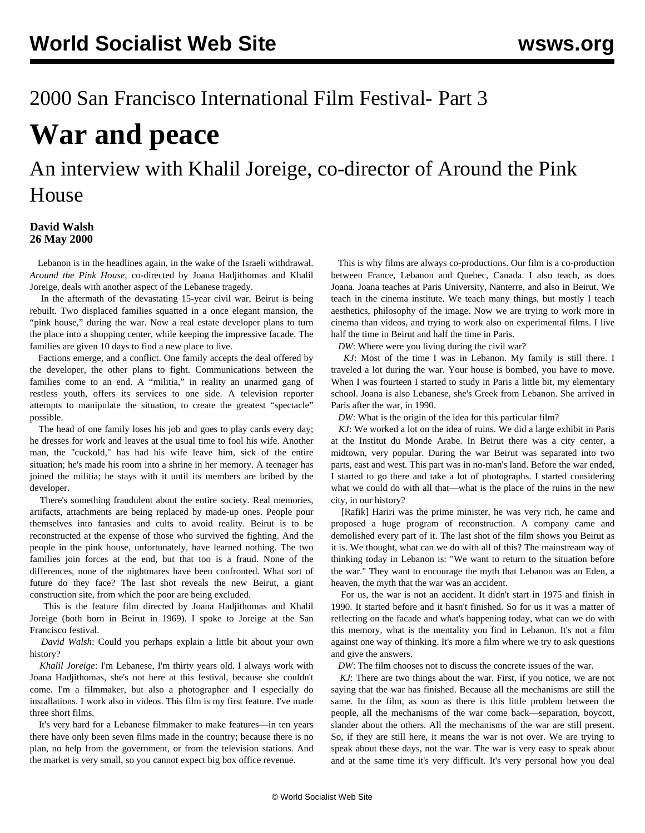## 2000 San Francisco International Film Festival- Part 3

# **War and peace**

# An interview with Khalil Joreige, co-director of Around the Pink House

### **David Walsh 26 May 2000**

Lebanon is in the headlines again, in the wake of the Israeli withdrawal. *Around the Pink House*, co-directed by Joana Hadjithomas and Khalil Joreige, deals with another aspect of the Lebanese tragedy.

 In the aftermath of the devastating 15-year civil war, Beirut is being rebuilt. Two displaced families squatted in a once elegant mansion, the "pink house," during the war. Now a real estate developer plans to turn the place into a shopping center, while keeping the impressive facade. The families are given 10 days to find a new place to live.

 Factions emerge, and a conflict. One family accepts the deal offered by the developer, the other plans to fight. Communications between the families come to an end. A "militia," in reality an unarmed gang of restless youth, offers its services to one side. A television reporter attempts to manipulate the situation, to create the greatest "spectacle" possible.

 The head of one family loses his job and goes to play cards every day; he dresses for work and leaves at the usual time to fool his wife. Another man, the "cuckold," has had his wife leave him, sick of the entire situation; he's made his room into a shrine in her memory. A teenager has joined the militia; he stays with it until its members are bribed by the developer.

 reconstructed at the expense of those who survived the fighting. And the There's something fraudulent about the entire society. Real memories, artifacts, attachments are being replaced by made-up ones. People pour themselves into fantasies and cults to avoid reality. Beirut is to be people in the pink house, unfortunately, have learned nothing. The two families join forces at the end, but that too is a fraud. None of the differences, none of the nightmares have been confronted. What sort of future do they face? The last shot reveals the new Beirut, a giant construction site, from which the poor are being excluded.

 This is the feature film directed by Joana Hadjithomas and Khalil Joreige (both born in Beirut in 1969). I spoke to Joreige at the San Francisco festival.

 *David Walsh*: Could you perhaps explain a little bit about your own history?

 *Khalil Joreige*: I'm Lebanese, I'm thirty years old. I always work with Joana Hadjithomas, she's not here at this festival, because she couldn't come. I'm a filmmaker, but also a photographer and I especially do installations. I work also in videos. This film is my first feature. I've made three short films.

 It's very hard for a Lebanese filmmaker to make features—in ten years there have only been seven films made in the country; because there is no plan, no help from the government, or from the television stations. And the market is very small, so you cannot expect big box office revenue.

 This is why films are always co-productions. Our film is a co-production between France, Lebanon and Quebec, Canada. I also teach, as does Joana. Joana teaches at Paris University, Nanterre, and also in Beirut. We teach in the cinema institute. We teach many things, but mostly I teach aesthetics, philosophy of the image. Now we are trying to work more in cinema than videos, and trying to work also on experimental films. I live half the time in Beirut and half the time in Paris.

*DW*: Where were you living during the civil war?

 *KJ*: Most of the time I was in Lebanon. My family is still there. I traveled a lot during the war. Your house is bombed, you have to move. When I was fourteen I started to study in Paris a little bit, my elementary school. Joana is also Lebanese, she's Greek from Lebanon. She arrived in Paris after the war, in 1990.

*DW*: What is the origin of the idea for this particular film?

 *KJ*: We worked a lot on the idea of ruins. We did a large exhibit in Paris at the Institut du Monde Arabe. In Beirut there was a city center, a midtown, very popular. During the war Beirut was separated into two parts, east and west. This part was in no-man's land. Before the war ended, I started to go there and take a lot of photographs. I started considering what we could do with all that—what is the place of the ruins in the new city, in our history?

 [Rafik] Hariri was the prime minister, he was very rich, he came and proposed a huge program of reconstruction. A company came and demolished every part of it. The last shot of the film shows you Beirut as it is. We thought, what can we do with all of this? The mainstream way of thinking today in Lebanon is: "We want to return to the situation before the war." They want to encourage the myth that Lebanon was an Eden, a heaven, the myth that the war was an accident.

 For us, the war is not an accident. It didn't start in 1975 and finish in 1990. It started before and it hasn't finished. So for us it was a matter of reflecting on the facade and what's happening today, what can we do with this memory, what is the mentality you find in Lebanon. It's not a film against one way of thinking. It's more a film where we try to ask questions and give the answers.

*DW*: The film chooses not to discuss the concrete issues of the war.

 *KJ*: There are two things about the war. First, if you notice, we are not saying that the war has finished. Because all the mechanisms are still the same. In the film, as soon as there is this little problem between the people, all the mechanisms of the war come back—separation, boycott, slander about the others. All the mechanisms of the war are still present. So, if they are still here, it means the war is not over. We are trying to speak about these days, not the war. The war is very easy to speak about and at the same time it's very difficult. It's very personal how you deal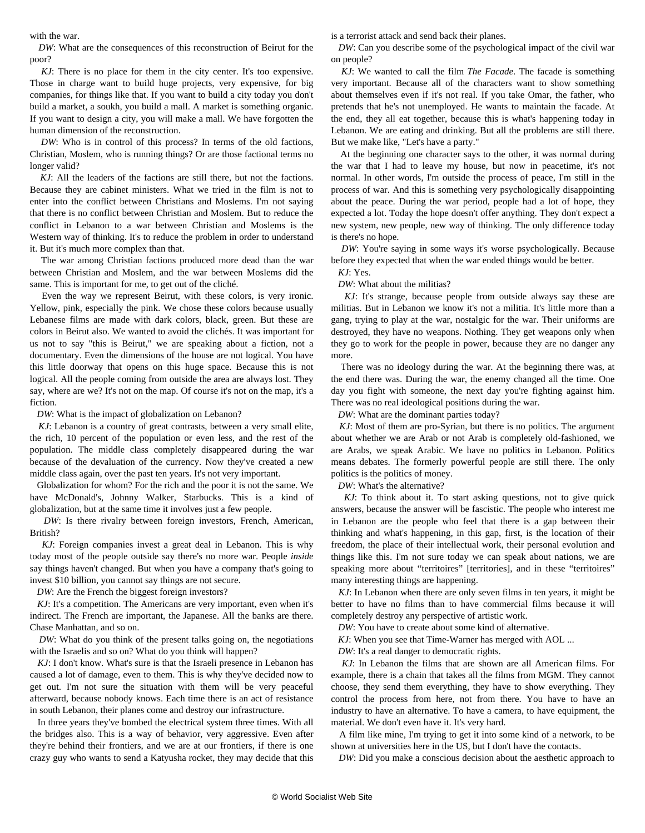with the war.

 *DW*: What are the consequences of this reconstruction of Beirut for the poor?

 *KJ*: There is no place for them in the city center. It's too expensive. Those in charge want to build huge projects, very expensive, for big companies, for things like that. If you want to build a city today you don't build a market, a soukh, you build a mall. A market is something organic. If you want to design a city, you will make a mall. We have forgotten the human dimension of the reconstruction.

*DW*: Who is in control of this process? In terms of the old factions, Christian, Moslem, who is running things? Or are those factional terms no longer valid?

 *KJ*: All the leaders of the factions are still there, but not the factions. Because they are cabinet ministers. What we tried in the film is not to enter into the conflict between Christians and Moslems. I'm not saying that there is no conflict between Christian and Moslem. But to reduce the conflict in Lebanon to a war between Christian and Moslems is the Western way of thinking. It's to reduce the problem in order to understand it. But it's much more complex than that.

 The war among Christian factions produced more dead than the war between Christian and Moslem, and the war between Moslems did the same. This is important for me, to get out of the cliché.

 Even the way we represent Beirut, with these colors, is very ironic. Yellow, pink, especially the pink. We chose these colors because usually Lebanese films are made with dark colors, black, green. But these are colors in Beirut also. We wanted to avoid the clichés. It was important for us not to say "this is Beirut," we are speaking about a fiction, not a documentary. Even the dimensions of the house are not logical. You have this little doorway that opens on this huge space. Because this is not logical. All the people coming from outside the area are always lost. They say, where are we? It's not on the map. Of course it's not on the map, it's a fiction.

*DW*: What is the impact of globalization on Lebanon?

 *KJ*: Lebanon is a country of great contrasts, between a very small elite, the rich, 10 percent of the population or even less, and the rest of the population. The middle class completely disappeared during the war because of the devaluation of the currency. Now they've created a new middle class again, over the past ten years. It's not very important.

 Globalization for whom? For the rich and the poor it is not the same. We have McDonald's, Johnny Walker, Starbucks. This is a kind of globalization, but at the same time it involves just a few people.

 *DW*: Is there rivalry between foreign investors, French, American, British?

 *KJ*: Foreign companies invest a great deal in Lebanon. This is why today most of the people outside say there's no more war. People *inside* say things haven't changed. But when you have a company that's going to invest \$10 billion, you cannot say things are not secure.

*DW*: Are the French the biggest foreign investors?

*KJ*: It's a competition. The Americans are very important, even when it's indirect. The French are important, the Japanese. All the banks are there. Chase Manhattan, and so on.

 *DW*: What do you think of the present talks going on, the negotiations with the Israelis and so on? What do you think will happen?

 *KJ*: I don't know. What's sure is that the Israeli presence in Lebanon has caused a lot of damage, even to them. This is why they've decided now to get out. I'm not sure the situation with them will be very peaceful afterward, because nobody knows. Each time there is an act of resistance in south Lebanon, their planes come and destroy our infrastructure.

 In three years they've bombed the electrical system three times. With all the bridges also. This is a way of behavior, very aggressive. Even after they're behind their frontiers, and we are at our frontiers, if there is one crazy guy who wants to send a Katyusha rocket, they may decide that this is a terrorist attack and send back their planes.

 *DW*: Can you describe some of the psychological impact of the civil war on people?

 *KJ*: We wanted to call the film *The Facade*. The facade is something very important. Because all of the characters want to show something about themselves even if it's not real. If you take Omar, the father, who pretends that he's not unemployed. He wants to maintain the facade. At the end, they all eat together, because this is what's happening today in Lebanon. We are eating and drinking. But all the problems are still there. But we make like, "Let's have a party."

 At the beginning one character says to the other, it was normal during the war that I had to leave my house, but now in peacetime, it's not normal. In other words, I'm outside the process of peace, I'm still in the process of war. And this is something very psychologically disappointing about the peace. During the war period, people had a lot of hope, they expected a lot. Today the hope doesn't offer anything. They don't expect a new system, new people, new way of thinking. The only difference today is there's no hope.

*DW*: You're saying in some ways it's worse psychologically. Because before they expected that when the war ended things would be better.

*KJ*: Yes.

*DW*: What about the militias?

 *KJ*: It's strange, because people from outside always say these are militias. But in Lebanon we know it's not a militia. It's little more than a gang, trying to play at the war, nostalgic for the war. Their uniforms are destroyed, they have no weapons. Nothing. They get weapons only when they go to work for the people in power, because they are no danger any more.

 There was no ideology during the war. At the beginning there was, at the end there was. During the war, the enemy changed all the time. One day you fight with someone, the next day you're fighting against him. There was no real ideological positions during the war.

*DW*: What are the dominant parties today?

 *KJ*: Most of them are pro-Syrian, but there is no politics. The argument about whether we are Arab or not Arab is completely old-fashioned, we are Arabs, we speak Arabic. We have no politics in Lebanon. Politics means debates. The formerly powerful people are still there. The only politics is the politics of money.

*DW*: What's the alternative?

 *KJ*: To think about it. To start asking questions, not to give quick answers, because the answer will be fascistic. The people who interest me in Lebanon are the people who feel that there is a gap between their thinking and what's happening, in this gap, first, is the location of their freedom, the place of their intellectual work, their personal evolution and things like this. I'm not sure today we can speak about nations, we are speaking more about "territoires" [territories], and in these "territoires" many interesting things are happening.

 *KJ*: In Lebanon when there are only seven films in ten years, it might be better to have no films than to have commercial films because it will completely destroy any perspective of artistic work.

*DW*: You have to create about some kind of alternative.

*KJ*: When you see that Time-Warner has merged with AOL ...

*DW*: It's a real danger to democratic rights.

 *KJ*: In Lebanon the films that are shown are all American films. For example, there is a chain that takes all the films from MGM. They cannot choose, they send them everything, they have to show everything. They control the process from here, not from there. You have to have an industry to have an alternative. To have a camera, to have equipment, the material. We don't even have it. It's very hard.

 A film like mine, I'm trying to get it into some kind of a network, to be shown at universities here in the US, but I don't have the contacts.

*DW*: Did you make a conscious decision about the aesthetic approach to